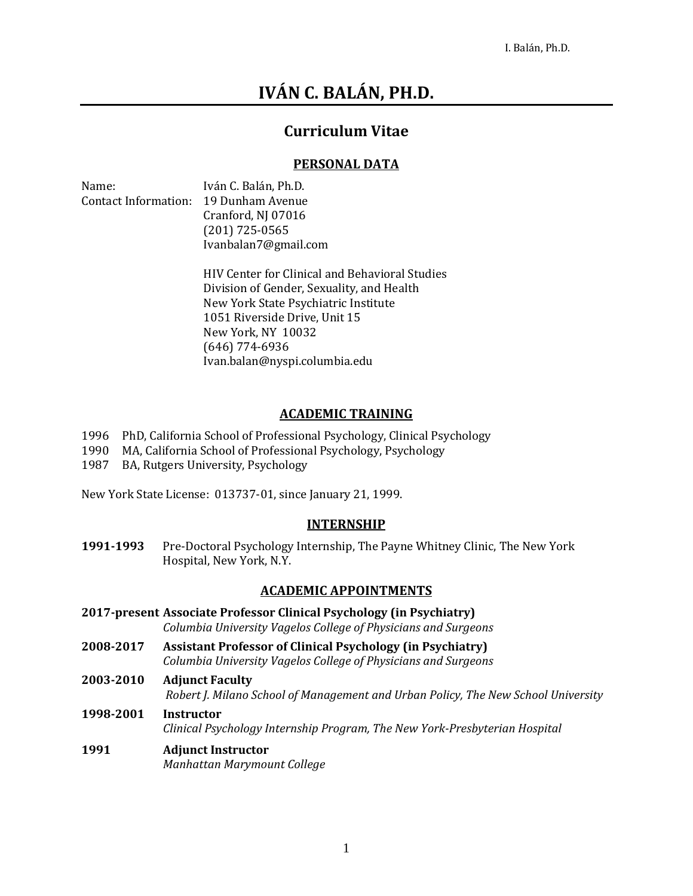# **IVÁN C. BALÁN, PH.D.**

## **Curriculum Vitae**

### **PERSONAL DATA**

| Name:                       | Iván C. Balán, Ph.D. |
|-----------------------------|----------------------|
| <b>Contact Information:</b> | 19 Dunham Avenue     |
|                             | Cranford, NJ 07016   |
|                             | $(201)$ 725-0565     |
|                             | Ivanbalan7@gmail.com |
|                             |                      |

HIV Center for Clinical and Behavioral Studies Division of Gender, Sexuality, and Health New York State Psychiatric Institute 1051 Riverside Drive, Unit 15 New York, NY 10032 (646) 774-6936 Ivan.balan@nyspi.columbia.edu

### **ACADEMIC TRAINING**

- 1996 PhD, California School of Professional Psychology, Clinical Psychology
- 1990 MA, California School of Professional Psychology, Psychology
- 1987 BA, Rutgers University, Psychology

New York State License: 013737-01, since January 21, 1999.

#### **INTERNSHIP**

**1991-1993** Pre-Doctoral Psychology Internship, The Payne Whitney Clinic, The New York Hospital, New York, N.Y.

## **ACADEMIC APPOINTMENTS**

- **2017-present Associate Professor Clinical Psychology (in Psychiatry)** *Columbia University Vagelos College of Physicians and Surgeons*
- **2008-2017 Assistant Professor of Clinical Psychology (in Psychiatry)** *Columbia University Vagelos College of Physicians and Surgeons*
- **2003-2010 Adjunct Faculty** *Robert J. Milano School of Management and Urban Policy, The New School University*
- **1998-2001 Instructor**  *Clinical Psychology Internship Program, The New York-Presbyterian Hospital*

#### **1991 Adjunct Instructor** *Manhattan Marymount College*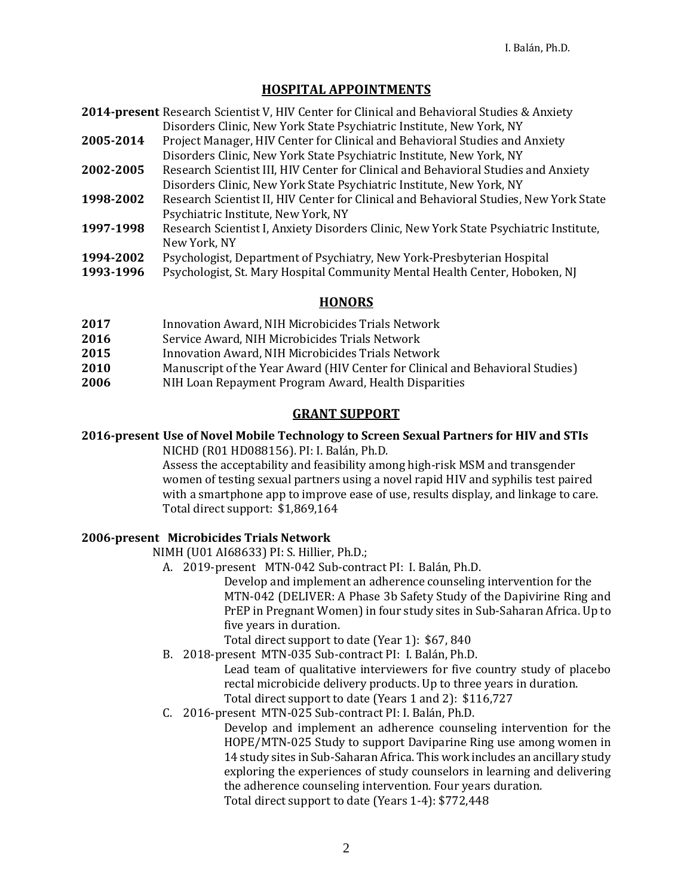## **HOSPITAL APPOINTMENTS**

- **2014-present** Research Scientist V, HIV Center for Clinical and Behavioral Studies & Anxiety Disorders Clinic, New York State Psychiatric Institute, New York, NY
- **2005-2014** Project Manager, HIV Center for Clinical and Behavioral Studies and Anxiety Disorders Clinic, New York State Psychiatric Institute, New York, NY
- **2002-2005** Research Scientist III, HIV Center for Clinical and Behavioral Studies and Anxiety Disorders Clinic, New York State Psychiatric Institute, New York, NY
- **1998-2002** Research Scientist II, HIV Center for Clinical and Behavioral Studies, New York State Psychiatric Institute, New York, NY
- **1997-1998** Research Scientist I, Anxiety Disorders Clinic, New York State Psychiatric Institute, New York, NY
- **1994-2002** Psychologist, Department of Psychiatry, New York-Presbyterian Hospital
- **1993-1996** Psychologist, St. Mary Hospital Community Mental Health Center, Hoboken, NJ

### **HONORS**

- **2017** Innovation Award, NIH Microbicides Trials Network
- **2016** Service Award, NIH Microbicides Trials Network
- **2015** Innovation Award, NIH Microbicides Trials Network
- **2010** Manuscript of the Year Award (HIV Center for Clinical and Behavioral Studies)
- **2006** NIH Loan Repayment Program Award, Health Disparities

### **GRANT SUPPORT**

# **2016-present Use of Novel Mobile Technology to Screen Sexual Partners for HIV and STIs**

NICHD (R01 HD088156). PI: I. Balán, Ph.D.

Assess the acceptability and feasibility among high-risk MSM and transgender women of testing sexual partners using a novel rapid HIV and syphilis test paired with a smartphone app to improve ease of use, results display, and linkage to care. Total direct support: \$1,869,164

#### **2006-present Microbicides Trials Network**

NIMH (U01 AI68633) PI: S. Hillier, Ph.D.;

A. 2019-present MTN-042 Sub-contract PI: I. Balán, Ph.D.

Develop and implement an adherence counseling intervention for the MTN-042 (DELIVER: A Phase 3b Safety Study of the Dapivirine Ring and PrEP in Pregnant Women) in four study sites in Sub-Saharan Africa. Up to five years in duration.

Total direct support to date (Year 1): \$67, 840

B. 2018-present MTN-035 Sub-contract PI: I. Balán, Ph.D.

Lead team of qualitative interviewers for five country study of placebo rectal microbicide delivery products. Up to three years in duration. Total direct support to date (Years 1 and 2): \$116,727

C. 2016-present MTN-025 Sub-contract PI: I. Balán, Ph.D.

Develop and implement an adherence counseling intervention for the HOPE/MTN-025 Study to support Daviparine Ring use among women in 14 study sites in Sub-Saharan Africa. This work includes an ancillary study exploring the experiences of study counselors in learning and delivering the adherence counseling intervention. Four years duration. Total direct support to date (Years 1-4): \$772,448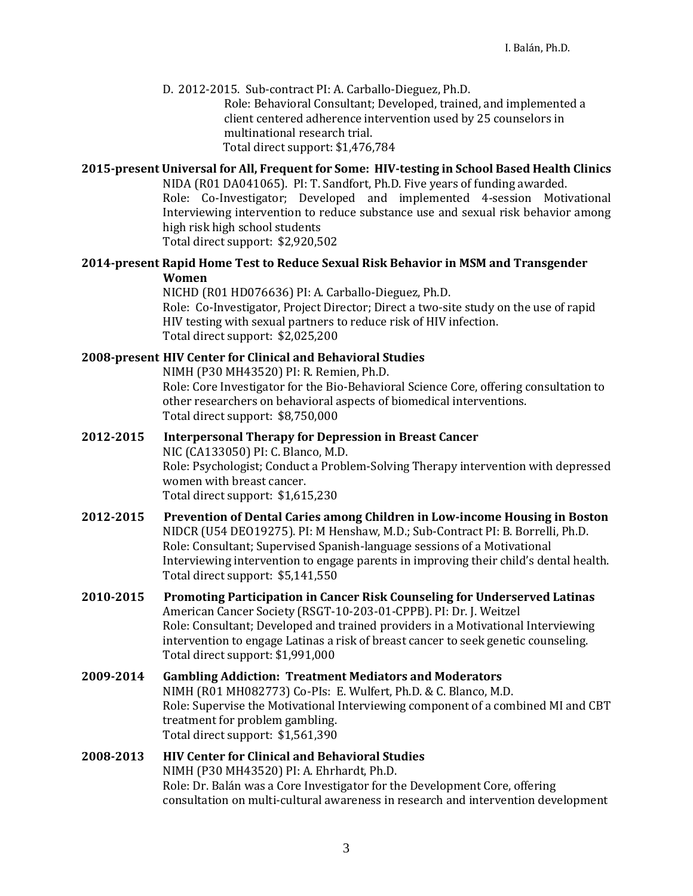D. 2012-2015. Sub-contract PI: A. Carballo-Dieguez, Ph.D.

Role: Behavioral Consultant; Developed, trained, and implemented a client centered adherence intervention used by 25 counselors in multinational research trial. Total direct support: \$1,476,784

#### **2015-present Universal for All, Frequent for Some: HIV-testing in School Based Health Clinics**

NIDA (R01 DA041065). PI: T. Sandfort, Ph.D. Five years of funding awarded. Role: Co-Investigator; Developed and implemented 4-session Motivational Interviewing intervention to reduce substance use and sexual risk behavior among high risk high school students Total direct support: \$2,920,502

#### **2014-present Rapid Home Test to Reduce Sexual Risk Behavior in MSM and Transgender Women**

NICHD (R01 HD076636) PI: A. Carballo-Dieguez, Ph.D. Role: Co-Investigator, Project Director; Direct a two-site study on the use of rapid HIV testing with sexual partners to reduce risk of HIV infection. Total direct support: \$2,025,200

#### **2008-present HIV Center for Clinical and Behavioral Studies**

NIMH (P30 MH43520) PI: R. Remien, Ph.D.

Role: Core Investigator for the Bio-Behavioral Science Core, offering consultation to other researchers on behavioral aspects of biomedical interventions. Total direct support: \$8,750,000

- **2012-2015 Interpersonal Therapy for Depression in Breast Cancer** NIC (CA133050) PI: C. Blanco, M.D. Role: Psychologist; Conduct a Problem-Solving Therapy intervention with depressed women with breast cancer. Total direct support: \$1,615,230
- **2012-2015 Prevention of Dental Caries among Children in Low-income Housing in Boston** NIDCR (U54 DEO19275). PI: M Henshaw, M.D.; Sub-Contract PI: B. Borrelli, Ph.D. Role: Consultant; Supervised Spanish-language sessions of a Motivational Interviewing intervention to engage parents in improving their child's dental health. Total direct support: \$5,141,550
- **2010-2015 Promoting Participation in Cancer Risk Counseling for Underserved Latinas** American Cancer Society (RSGT-10-203-01-CPPB). PI: Dr. J. Weitzel Role: Consultant; Developed and trained providers in a Motivational Interviewing intervention to engage Latinas a risk of breast cancer to seek genetic counseling. Total direct support: \$1,991,000
- **2009-2014 Gambling Addiction: Treatment Mediators and Moderators** NIMH (R01 MH082773) Co-PIs: E. Wulfert, Ph.D. & C. Blanco, M.D. Role: Supervise the Motivational Interviewing component of a combined MI and CBT treatment for problem gambling. Total direct support: \$1,561,390

#### **2008-2013 HIV Center for Clinical and Behavioral Studies** NIMH (P30 MH43520) PI: A. Ehrhardt, Ph.D. Role: Dr. Balán was a Core Investigator for the Development Core, offering consultation on multi-cultural awareness in research and intervention development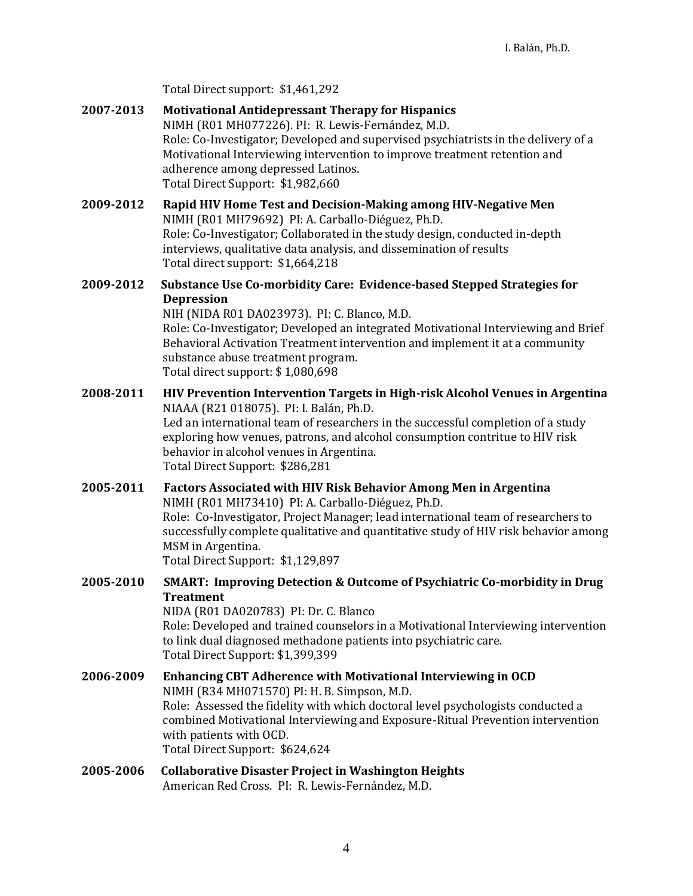Total Direct support: \$1,461,292

- **2007-2013 Motivational Antidepressant Therapy for Hispanics**  NIMH (R01 MH077226). PI: R. Lewis-Fernández, M.D. Role: Co-Investigator; Developed and supervised psychiatrists in the delivery of a Motivational Interviewing intervention to improve treatment retention and adherence among depressed Latinos. Total Direct Support: \$1,982,660
- **2009-2012 Rapid HIV Home Test and Decision-Making among HIV-Negative Men**  NIMH (R01 MH79692) PI: A. Carballo-Diéguez, Ph.D. Role: Co-Investigator; Collaborated in the study design, conducted in-depth interviews, qualitative data analysis, and dissemination of results Total direct support: \$1,664,218
- **2009-2012 Substance Use Co-morbidity Care: Evidence-based Stepped Strategies for Depression**

NIH (NIDA R01 DA023973). PI: C. Blanco, M.D. Role: Co-Investigator; Developed an integrated Motivational Interviewing and Brief Behavioral Activation Treatment intervention and implement it at a community substance abuse treatment program. Total direct support: \$ 1,080,698

- **2008-2011 HIV Prevention Intervention Targets in High-risk Alcohol Venues in Argentina**  NIAAA (R21 018075). PI: I. Balán, Ph.D. Led an international team of researchers in the successful completion of a study exploring how venues, patrons, and alcohol consumption contritue to HIV risk behavior in alcohol venues in Argentina. Total Direct Support: \$286,281
- **2005-2011 Factors Associated with HIV Risk Behavior Among Men in Argentina**  NIMH (R01 MH73410) PI: A. Carballo-Diéguez, Ph.D. Role: Co-Investigator, Project Manager; lead international team of researchers to successfully complete qualitative and quantitative study of HIV risk behavior among MSM in Argentina. Total Direct Support: \$1,129,897 **2005-2010 SMART: Improving Detection & Outcome of Psychiatric Co-morbidity in Drug** 
	- **Treatment** NIDA (R01 DA020783) PI: Dr. C. Blanco Role: Developed and trained counselors in a Motivational Interviewing intervention to link dual diagnosed methadone patients into psychiatric care. Total Direct Support: \$1,399,399
- **2006-2009 Enhancing CBT Adherence with Motivational Interviewing in OCD** NIMH (R34 MH071570) PI: H. B. Simpson, M.D. Role: Assessed the fidelity with which doctoral level psychologists conducted a combined Motivational Interviewing and Exposure-Ritual Prevention intervention with patients with OCD. Total Direct Support: \$624,624
- **2005-2006 Collaborative Disaster Project in Washington Heights** American Red Cross. PI: R. Lewis-Fernández, M.D.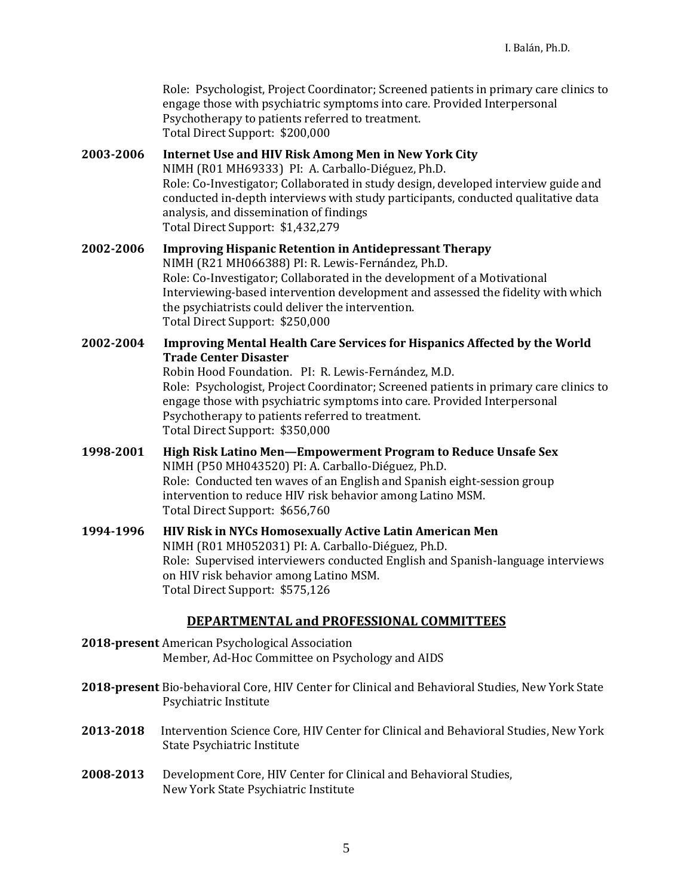Role: Psychologist, Project Coordinator; Screened patients in primary care clinics to engage those with psychiatric symptoms into care. Provided Interpersonal Psychotherapy to patients referred to treatment. Total Direct Support: \$200,000

#### **2003-2006 Internet Use and HIV Risk Among Men in New York City** NIMH (R01 MH69333) PI: A. Carballo-Diéguez, Ph.D. Role: Co-Investigator; Collaborated in study design, developed interview guide and conducted in-depth interviews with study participants, conducted qualitative data

analysis, and dissemination of findings Total Direct Support: \$1,432,279

### **2002-2006 Improving Hispanic Retention in Antidepressant Therapy** NIMH (R21 MH066388) PI: R. Lewis-Fernández, Ph.D. Role: Co-Investigator; Collaborated in the development of a Motivational Interviewing-based intervention development and assessed the fidelity with which the psychiatrists could deliver the intervention. Total Direct Support: \$250,000

#### **2002-2004 Improving Mental Health Care Services for Hispanics Affected by the World Trade Center Disaster**

Robin Hood Foundation. PI: R. Lewis-Fernández, M.D. Role: Psychologist, Project Coordinator; Screened patients in primary care clinics to engage those with psychiatric symptoms into care. Provided Interpersonal Psychotherapy to patients referred to treatment. Total Direct Support: \$350,000

- **1998-2001 High Risk Latino Men—Empowerment Program to Reduce Unsafe Sex** NIMH (P50 MH043520) PI: A. Carballo-Diéguez, Ph.D. Role: Conducted ten waves of an English and Spanish eight-session group intervention to reduce HIV risk behavior among Latino MSM. Total Direct Support: \$656,760
- **1994-1996 HIV Risk in NYCs Homosexually Active Latin American Men** NIMH (R01 MH052031) PI: A. Carballo-Diéguez, Ph.D. Role: Supervised interviewers conducted English and Spanish-language interviews on HIV risk behavior among Latino MSM. Total Direct Support: \$575,126

## **DEPARTMENTAL and PROFESSIONAL COMMITTEES**

- **2018-present** American Psychological Association Member, Ad-Hoc Committee on Psychology and AIDS
- **2018-present** Bio-behavioral Core, HIV Center for Clinical and Behavioral Studies, New York State Psychiatric Institute
- **2013-2018** Intervention Science Core, HIV Center for Clinical and Behavioral Studies, New York State Psychiatric Institute
- **2008-2013** Development Core, HIV Center for Clinical and Behavioral Studies, New York State Psychiatric Institute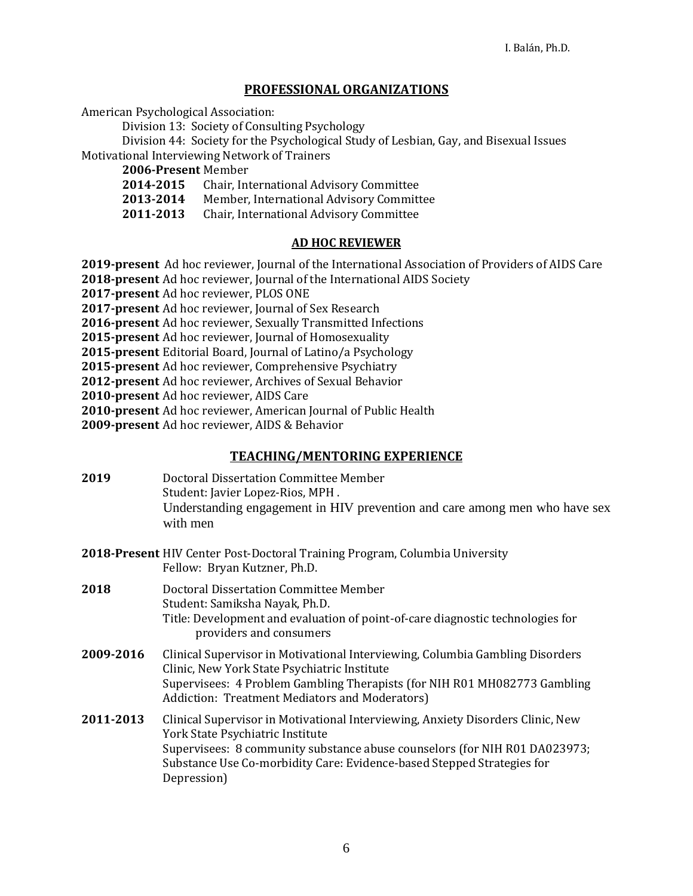### **PROFESSIONAL ORGANIZATIONS**

American Psychological Association:

Division 13: Society of Consulting Psychology

Division 44: Society for the Psychological Study of Lesbian, Gay, and Bisexual Issues Motivational Interviewing Network of Trainers

**2006-Present** Member

- **2014-2015** Chair, International Advisory Committee
- **2013-2014** Member, International Advisory Committee
- **2011-2013** Chair, International Advisory Committee

#### **AD HOC REVIEWER**

- **2019-present** Ad hoc reviewer, Journal of the International Association of Providers of AIDS Care
- **2018-present** Ad hoc reviewer, Journal of the International AIDS Society

**2017-present** Ad hoc reviewer, PLOS ONE

**2017-present** Ad hoc reviewer, Journal of Sex Research

- **2016-present** Ad hoc reviewer, Sexually Transmitted Infections
- **2015-present** Ad hoc reviewer, Journal of Homosexuality
- **2015-present** Editorial Board, Journal of Latino/a Psychology
- **2015-present** Ad hoc reviewer, Comprehensive Psychiatry
- **2012-present** Ad hoc reviewer, Archives of Sexual Behavior
- **2010-present** Ad hoc reviewer, AIDS Care
- **2010-present** Ad hoc reviewer, American Journal of Public Health

**2009-present** Ad hoc reviewer, AIDS & Behavior

#### **TEACHING/MENTORING EXPERIENCE**

- **2019** Doctoral Dissertation Committee Member Student: Javier Lopez-Rios, MPH . Understanding engagement in HIV prevention and care among men who have sex with men
- **2018-Present** HIV Center Post-Doctoral Training Program, Columbia University Fellow: Bryan Kutzner, Ph.D.
- **2018** Doctoral Dissertation Committee Member Student: Samiksha Nayak, Ph.D. Title: Development and evaluation of point-of-care diagnostic technologies for providers and consumers
- **2009-2016** Clinical Supervisor in Motivational Interviewing, Columbia Gambling Disorders Clinic, New York State Psychiatric Institute Supervisees: 4 Problem Gambling Therapists (for NIH R01 MH082773 Gambling Addiction: Treatment Mediators and Moderators)
- **2011-2013** Clinical Supervisor in Motivational Interviewing, Anxiety Disorders Clinic, New York State Psychiatric Institute Supervisees: 8 community substance abuse counselors (for NIH R01 DA023973; Substance Use Co-morbidity Care: Evidence-based Stepped Strategies for Depression)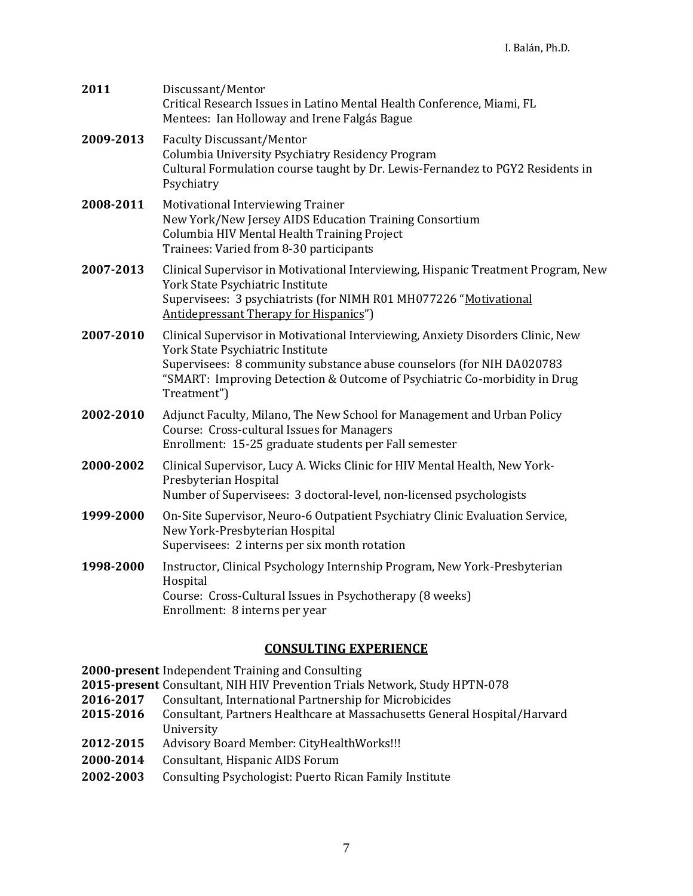| 2011      | Discussant/Mentor<br>Critical Research Issues in Latino Mental Health Conference, Miami, FL<br>Mentees: Ian Holloway and Irene Falgás Bague                                                                                                                                              |
|-----------|------------------------------------------------------------------------------------------------------------------------------------------------------------------------------------------------------------------------------------------------------------------------------------------|
| 2009-2013 | <b>Faculty Discussant/Mentor</b><br>Columbia University Psychiatry Residency Program<br>Cultural Formulation course taught by Dr. Lewis-Fernandez to PGY2 Residents in<br>Psychiatry                                                                                                     |
| 2008-2011 | Motivational Interviewing Trainer<br>New York/New Jersey AIDS Education Training Consortium<br>Columbia HIV Mental Health Training Project<br>Trainees: Varied from 8-30 participants                                                                                                    |
| 2007-2013 | Clinical Supervisor in Motivational Interviewing, Hispanic Treatment Program, New<br>York State Psychiatric Institute<br>Supervisees: 3 psychiatrists (for NIMH R01 MH077226 "Motivational<br>Antidepressant Therapy for Hispanics")                                                     |
| 2007-2010 | Clinical Supervisor in Motivational Interviewing, Anxiety Disorders Clinic, New<br>York State Psychiatric Institute<br>Supervisees: 8 community substance abuse counselors (for NIH DA020783<br>"SMART: Improving Detection & Outcome of Psychiatric Co-morbidity in Drug<br>Treatment") |
| 2002-2010 | Adjunct Faculty, Milano, The New School for Management and Urban Policy<br>Course: Cross-cultural Issues for Managers<br>Enrollment: 15-25 graduate students per Fall semester                                                                                                           |
| 2000-2002 | Clinical Supervisor, Lucy A. Wicks Clinic for HIV Mental Health, New York-<br>Presbyterian Hospital<br>Number of Supervisees: 3 doctoral-level, non-licensed psychologists                                                                                                               |
| 1999-2000 | On-Site Supervisor, Neuro-6 Outpatient Psychiatry Clinic Evaluation Service,<br>New York-Presbyterian Hospital<br>Supervisees: 2 interns per six month rotation                                                                                                                          |
| 1998-2000 | Instructor, Clinical Psychology Internship Program, New York-Presbyterian<br>Hospital<br>Course: Cross-Cultural Issues in Psychotherapy (8 weeks)<br>Enrollment: 8 interns per year                                                                                                      |

## **CONSULTING EXPERIENCE**

**2000-present** Independent Training and Consulting

- **2015-present** Consultant, NIH HIV Prevention Trials Network, Study HPTN-078
- **2016-2017** Consultant, International Partnership for Microbicides
- **2015-2016** Consultant, Partners Healthcare at Massachusetts General Hospital/Harvard University
- **2012-2015** Advisory Board Member: CityHealthWorks!!!
- **2000-2014** Consultant, Hispanic AIDS Forum
- **2002-2003** Consulting Psychologist: Puerto Rican Family Institute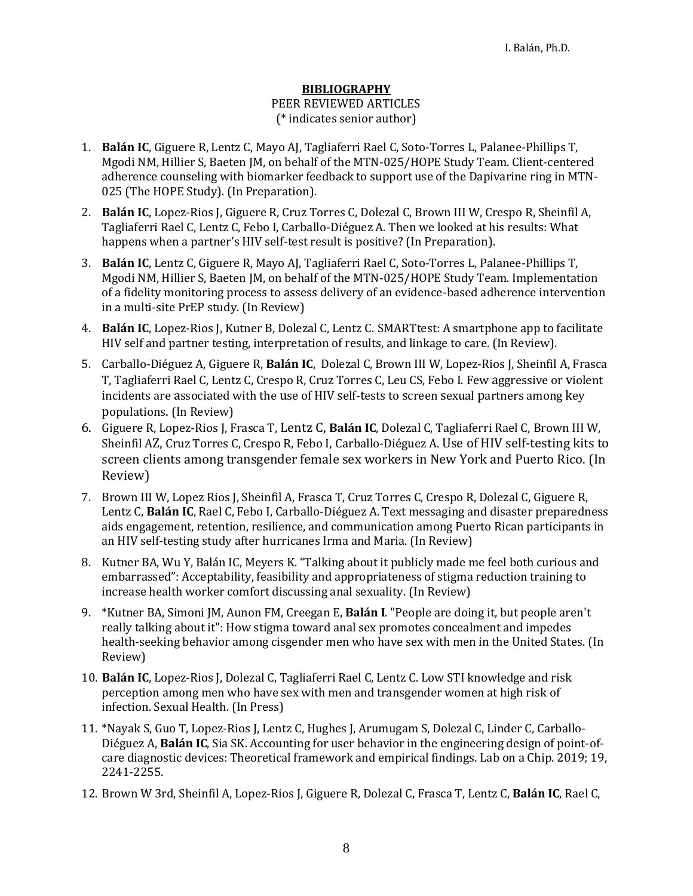#### **BIBLIOGRAPHY**

#### PEER REVIEWED ARTICLES (\* indicates senior author)

- 1. **Balán IC**, Giguere R, Lentz C, Mayo AJ, Tagliaferri Rael C, Soto-Torres L, Palanee-Phillips T, Mgodi NM, Hillier S, Baeten JM, on behalf of the MTN-025/HOPE Study Team. Client-centered adherence counseling with biomarker feedback to support use of the Dapivarine ring in MTN-025 (The HOPE Study). (In Preparation).
- 2. **Balán IC**, Lopez-Rios J, Giguere R, Cruz Torres C, Dolezal C, Brown III W, Crespo R, Sheinfil A, Tagliaferri Rael C, Lentz C, Febo I, Carballo-Diéguez A. Then we looked at his results: What happens when a partner's HIV self-test result is positive? (In Preparation).
- 3. **Balán IC**, Lentz C, Giguere R, Mayo AJ, Tagliaferri Rael C, Soto-Torres L, Palanee-Phillips T, Mgodi NM, Hillier S, Baeten JM, on behalf of the MTN-025/HOPE Study Team. Implementation of a fidelity monitoring process to assess delivery of an evidence-based adherence intervention in a multi-site PrEP study. (In Review)
- 4. **Balán IC**, Lopez-Rios J, Kutner B, Dolezal C, Lentz C. SMARTtest: A smartphone app to facilitate HIV self and partner testing, interpretation of results, and linkage to care. (In Review).
- 5. Carballo-Diéguez A, Giguere R, **Balán IC**, Dolezal C, Brown III W, Lopez-Rios J, Sheinfil A, Frasca T, Tagliaferri Rael C, Lentz C, Crespo R, Cruz Torres C, Leu CS, Febo I. Few aggressive or violent incidents are associated with the use of HIV self-tests to screen sexual partners among key populations. (In Review)
- 6. Giguere R, Lopez-Rios J, Frasca T, Lentz C, **Balán IC**, Dolezal C, Tagliaferri Rael C, Brown III W, Sheinfil AZ, Cruz Torres C, Crespo R, Febo I, Carballo-Diéguez A. Use of HIV self-testing kits to screen clients among transgender female sex workers in New York and Puerto Rico. (In Review)
- 7. Brown III W, Lopez Rios J, Sheinfil A, Frasca T, Cruz Torres C, Crespo R, Dolezal C, Giguere R, Lentz C, **Balán IC**, Rael C, Febo I, Carballo-Diéguez A. Text messaging and disaster preparedness aids engagement, retention, resilience, and communication among Puerto Rican participants in an HIV self-testing study after hurricanes Irma and Maria. (In Review)
- 8. Kutner BA, Wu Y, Balán IC, Meyers K. "Talking about it publicly made me feel both curious and embarrassed": Acceptability, feasibility and appropriateness of stigma reduction training to increase health worker comfort discussing anal sexuality. (In Review)
- 9. \*Kutner BA, Simoni JM, Aunon FM, Creegan E, **Balán I**. "People are doing it, but people aren't really talking about it": How stigma toward anal sex promotes concealment and impedes health-seeking behavior among cisgender men who have sex with men in the United States. (In Review)
- 10. **Balán IC**, Lopez-Rios J, Dolezal C, Tagliaferri Rael C, Lentz C. Low STI knowledge and risk perception among men who have sex with men and transgender women at high risk of infection. Sexual Health. (In Press)
- 11. \*Nayak S, Guo T, Lopez-Rios J, Lentz C, Hughes J, Arumugam S, Dolezal C, Linder C, Carballo-Diéguez A, **Balán IC**, Sia SK. Accounting for user behavior in the engineering design of point-ofcare diagnostic devices: Theoretical framework and empirical findings. Lab on a Chip. 2019; 19, 2241-2255.
- 12. Brown W 3rd, Sheinfil A, Lopez-Rios J, Giguere R, Dolezal C, Frasca T, Lentz C, **Balán IC**, Rael C,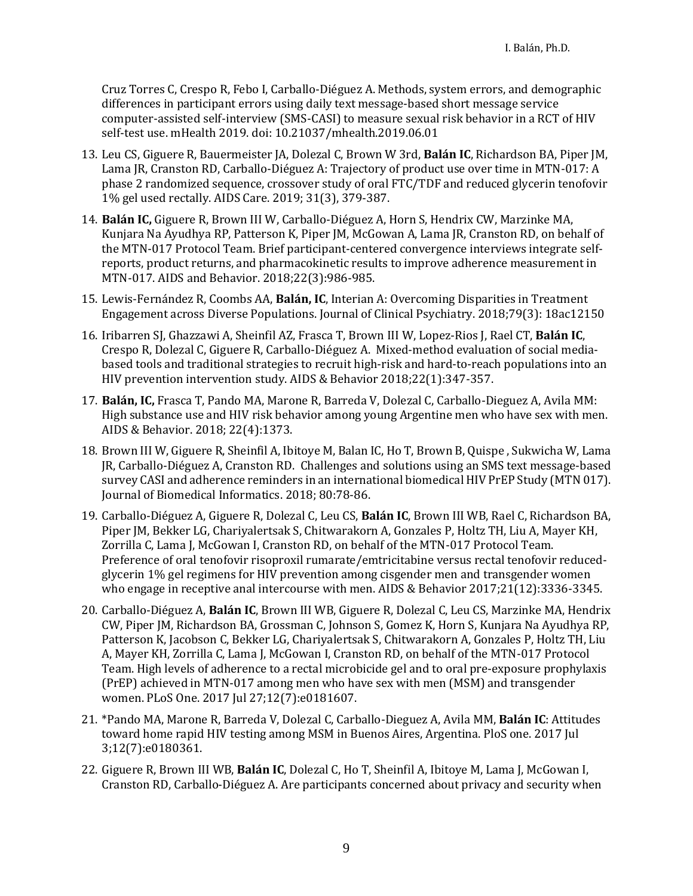Cruz Torres C, Crespo R, Febo I, Carballo-Diéguez A. Methods, system errors, and demographic differences in participant errors using daily text message-based short message service computer-assisted self-interview (SMS-CASI) to measure sexual risk behavior in a RCT of HIV self-test use. mHealth 2019. doi: 10.21037/mhealth.2019.06.01

- 13. Leu CS, Giguere R, Bauermeister JA, Dolezal C, Brown W 3rd, **Balán IC**, Richardson BA, Piper JM, Lama JR, Cranston RD, Carballo-Diéguez A: Trajectory of product use over time in MTN-017: A phase 2 randomized sequence, crossover study of oral FTC/TDF and reduced glycerin tenofovir 1% gel used rectally. AIDS Care. 2019; 31(3), 379-387.
- 14. **Balán IC,** Giguere R, Brown III W, Carballo-Diéguez A, Horn S, Hendrix CW, Marzinke MA, Kunjara Na Ayudhya RP, Patterson K, Piper JM, McGowan A, Lama JR, Cranston RD, on behalf of the MTN-017 Protocol Team. Brief participant-centered convergence interviews integrate selfreports, product returns, and pharmacokinetic results to improve adherence measurement in MTN-017. AIDS and Behavior. 2018;22(3):986-985.
- 15. Lewis-Fernández R, Coombs AA, **Balán, IC**, Interian A: Overcoming Disparities in Treatment Engagement across Diverse Populations. Journal of Clinical Psychiatry. 2018;79(3): 18ac12150
- 16. Iribarren SJ, Ghazzawi A, Sheinfil AZ, Frasca T, Brown III W, Lopez-Rios J, Rael CT, **Balán IC**, Crespo R, Dolezal C, Giguere R, Carballo-Diéguez A. Mixed-method evaluation of social mediabased tools and traditional strategies to recruit high-risk and hard-to-reach populations into an HIV prevention intervention study. AIDS & Behavior 2018;22(1):347-357.
- 17. **Balán, IC,** Frasca T, Pando MA, Marone R, Barreda V, Dolezal C, Carballo-Dieguez A, Avila MM: High substance use and HIV risk behavior among young Argentine men who have sex with men. AIDS & Behavior. 2018; 22(4):1373.
- 18. Brown III W, Giguere R, Sheinfil A, Ibitoye M, Balan IC, Ho T, Brown B, Quispe , Sukwicha W, Lama JR, Carballo-Diéguez A, Cranston RD. Challenges and solutions using an SMS text message-based survey CASI and adherence reminders in an international biomedical HIV PrEP Study (MTN 017). Journal of Biomedical Informatics. 2018; 80:78-86.
- 19. Carballo-Diéguez A, Giguere R, Dolezal C, Leu CS, **Balán IC**, Brown III WB, Rael C, Richardson BA, Piper JM, Bekker LG, Chariyalertsak S, Chitwarakorn A, Gonzales P, Holtz TH, Liu A, Mayer KH, Zorrilla C, Lama J, McGowan I, Cranston RD, on behalf of the MTN-017 Protocol Team. Preference of oral tenofovir risoproxil rumarate/emtricitabine versus rectal tenofovir reducedglycerin 1% gel regimens for HIV prevention among cisgender men and transgender women who engage in receptive anal intercourse with men. AIDS & Behavior 2017;21(12):3336-3345.
- 20. Carballo-Diéguez A, **Balán IC**, Brown III WB, Giguere R, Dolezal C, Leu CS, Marzinke MA, Hendrix CW, Piper JM, Richardson BA, Grossman C, Johnson S, Gomez K, Horn S, Kunjara Na Ayudhya RP, Patterson K, Jacobson C, Bekker LG, Chariyalertsak S, Chitwarakorn A, Gonzales P, Holtz TH, Liu A, Mayer KH, Zorrilla C, Lama J, McGowan I, Cranston RD, on behalf of the MTN-017 Protocol Team. High levels of adherence to a rectal microbicide gel and to oral pre-exposure prophylaxis (PrEP) achieved in MTN-017 among men who have sex with men (MSM) and transgender women. PLoS One. 2017 Jul 27;12(7):e0181607.
- 21. \*Pando MA, Marone R, Barreda V, Dolezal C, Carballo-Dieguez A, Avila MM, **Balán IC**: Attitudes toward home rapid HIV testing among MSM in Buenos Aires, Argentina. PloS one. 2017 Jul 3;12(7):e0180361.
- 22. Giguere R, Brown III WB, **Balán IC**, Dolezal C, Ho T, Sheinfil A, Ibitoye M, Lama J, McGowan I, Cranston RD, Carballo-Diéguez A. Are participants concerned about privacy and security when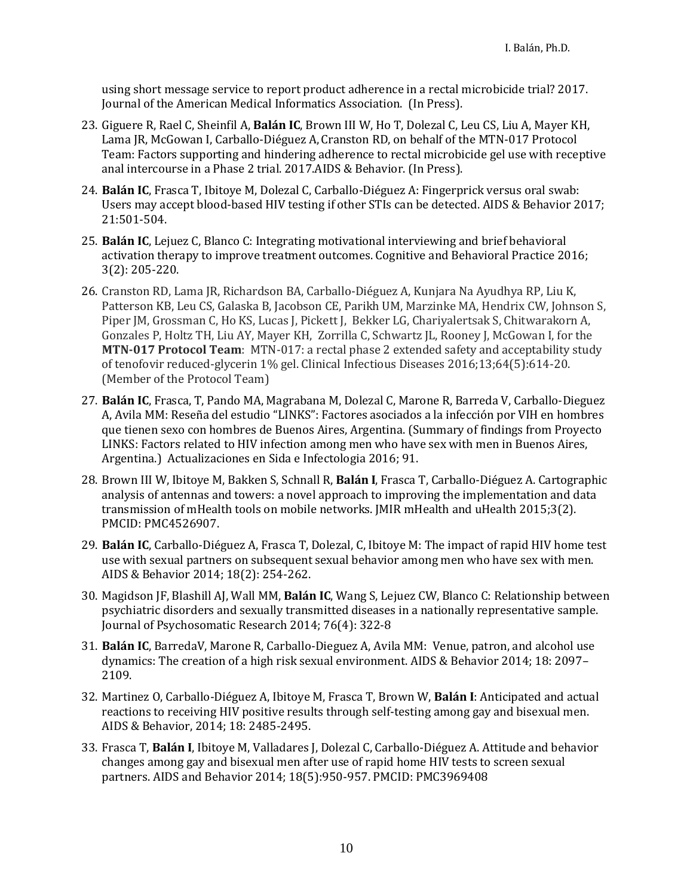using short message service to report product adherence in a rectal microbicide trial? 2017. Journal of the American Medical Informatics Association. (In Press).

- 23. Giguere R, Rael C, Sheinfil A, **Balán IC**, Brown III W, Ho T, Dolezal C, Leu CS, Liu A, Mayer KH, Lama JR, McGowan I, Carballo-Diéguez A,Cranston RD, on behalf of the MTN-017 Protocol Team: Factors supporting and hindering adherence to rectal microbicide gel use with receptive anal intercourse in a Phase 2 trial. 2017.AIDS & Behavior. (In Press).
- 24. **Balán IC**, Frasca T, Ibitoye M, Dolezal C, Carballo-Diéguez A: Fingerprick versus oral swab: Users may accept blood-based HIV testing if other STIs can be detected. AIDS & Behavior 2017; 21:501-504.
- 25. **Balán IC**, Lejuez C, Blanco C: Integrating motivational interviewing and brief behavioral activation therapy to improve treatment outcomes. Cognitive and Behavioral Practice 2016; 3(2): 205-220.
- 26. Cranston RD, Lama JR, Richardson BA, Carballo-Diéguez A, Kunjara Na Ayudhya RP, Liu K, Patterson KB, Leu CS, Galaska B, Jacobson CE, Parikh UM, Marzinke MA, Hendrix CW, Johnson S, Piper JM, Grossman C, Ho KS, Lucas J, Pickett J, Bekker LG, Chariyalertsak S, Chitwarakorn A, Gonzales P, Holtz TH, Liu AY, Mayer KH, Zorrilla C, Schwartz JL, Rooney J, McGowan I, for the **MTN-017 Protocol Team**: MTN-017: a rectal phase 2 extended safety and acceptability study of tenofovir reduced-glycerin 1% gel. Clinical Infectious Diseases 2016;13;64(5):614-20. (Member of the Protocol Team)
- 27. **Balán IC**, Frasca, T, Pando MA, Magrabana M, Dolezal C, Marone R, Barreda V, Carballo-Dieguez A, Avila MM: Reseña del estudio "LINKS": Factores asociados a la infección por VIH en hombres que tienen sexo con hombres de Buenos Aires, Argentina. (Summary of findings from Proyecto LINKS: Factors related to HIV infection among men who have sex with men in Buenos Aires, Argentina.) Actualizaciones en Sida e Infectologia 2016; 91.
- 28. Brown III W, Ibitoye M, Bakken S, Schnall R, **Balán I**, Frasca T, Carballo-Diéguez A. Cartographic analysis of antennas and towers: a novel approach to improving the implementation and data transmission of mHealth tools on mobile networks. JMIR mHealth and uHealth 2015;3(2). PMCID: PMC4526907.
- 29. **Balán IC**, Carballo-Diéguez A, Frasca T, Dolezal, C, Ibitoye M: The impact of rapid HIV home test use with sexual partners on subsequent sexual behavior among men who have sex with men. AIDS & Behavior 2014; 18(2): 254-262.
- 30. Magidson JF, Blashill AJ, Wall MM, **Balán IC**, Wang S, Lejuez CW, Blanco C: Relationship between psychiatric disorders and sexually transmitted diseases in a nationally representative sample. Journal of Psychosomatic Research 2014; 76(4): 322-8
- 31. **Balán IC**, BarredaV, Marone R, Carballo-Dieguez A, Avila MM: Venue, patron, and alcohol use dynamics: The creation of a high risk sexual environment. AIDS & Behavior 2014; 18: 2097– 2109.
- 32. Martinez O, Carballo-Diéguez A, Ibitoye M, Frasca T, Brown W, **Balán I**: Anticipated and actual reactions to receiving HIV positive results through self-testing among gay and bisexual men. AIDS & Behavior, 2014; 18: 2485-2495.
- 33. Frasca T, **Balán I**, Ibitoye M, Valladares J, Dolezal C, Carballo-Diéguez A. Attitude and behavior changes among gay and bisexual men after use of rapid home HIV tests to screen sexual partners. AIDS and Behavior 2014; 18(5):950-957. PMCID: PMC3969408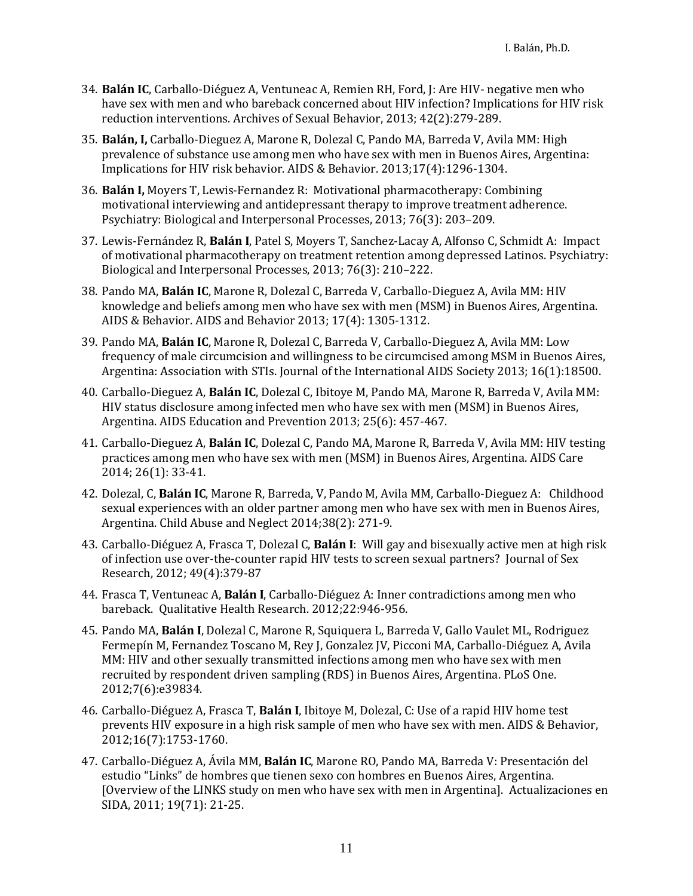- 34. **Balán IC**, Carballo-Diéguez A, Ventuneac A, Remien RH, Ford, J: Are HIV- negative men who have sex with men and who bareback concerned about HIV infection? Implications for HIV risk reduction interventions. Archives of Sexual Behavior, 2013; 42(2):279-289.
- 35. **Balán, I,** Carballo-Dieguez A, Marone R, Dolezal C, Pando MA, Barreda V, Avila MM: High prevalence of substance use among men who have sex with men in Buenos Aires, Argentina: Implications for HIV risk behavior. AIDS & Behavior. 2013;17(4):1296-1304.
- 36. **Balán I,** Moyers T, Lewis-Fernandez R: Motivational pharmacotherapy: Combining motivational interviewing and antidepressant therapy to improve treatment adherence. Psychiatry: Biological and Interpersonal Processes, 2013; 76(3): 203–209.
- 37. Lewis-Fernández R, **Balán I**, Patel S, Moyers T, Sanchez-Lacay A, Alfonso C, Schmidt A: Impact of motivational pharmacotherapy on treatment retention among depressed Latinos. Psychiatry: Biological and Interpersonal Processes, 2013; 76(3): 210–222.
- 38. Pando MA, **Balán IC**, Marone R, Dolezal C, Barreda V, Carballo-Dieguez A, Avila MM: HIV knowledge and beliefs among men who have sex with men (MSM) in Buenos Aires, Argentina. AIDS & Behavior. AIDS and Behavior 2013; 17(4): 1305-1312.
- 39. Pando MA, **Balán IC**, Marone R, Dolezal C, Barreda V, Carballo-Dieguez A, Avila MM: Low frequency of male circumcision and willingness to be circumcised among MSM in Buenos Aires, Argentina: Association with STIs. Journal of the International AIDS Society 2013; 16(1):18500.
- 40. Carballo-Dieguez A, **Balán IC**, Dolezal C, Ibitoye M, Pando MA, Marone R, Barreda V, Avila MM: HIV status disclosure among infected men who have sex with men (MSM) in Buenos Aires, Argentina. AIDS Education and Prevention 2013; 25(6): 457-467.
- 41. Carballo-Dieguez A, **Balán IC**, Dolezal C, Pando MA, Marone R, Barreda V, Avila MM: HIV testing practices among men who have sex with men (MSM) in Buenos Aires, Argentina. AIDS Care 2014; 26(1): 33-41.
- 42. Dolezal, C, **Balán IC**, Marone R, Barreda, V, Pando M, Avila MM, Carballo-Dieguez A: Childhood sexual experiences with an older partner among men who have sex with men in Buenos Aires, Argentina. Child Abuse and Neglect 2014;38(2): 271-9.
- 43. Carballo-Diéguez A, Frasca T, Dolezal C, **Balán I**: Will gay and bisexually active men at high risk of infection use over-the-counter rapid HIV tests to screen sexual partners? Journal of Sex Research, 2012; 49(4):379-87
- 44. Frasca T, Ventuneac A, **Balán I**, Carballo-Diéguez A: Inner contradictions among men who bareback. Qualitative Health Research. 2012;22:946-956.
- 45. Pando MA, **Balán I**, Dolezal C, Marone R, Squiquera L, Barreda V, Gallo Vaulet ML, Rodriguez Fermepín M, Fernandez Toscano M, Rey J, Gonzalez JV, Picconi MA, Carballo-Diéguez A, Avila MM: HIV and other sexually transmitted infections among men who have sex with men recruited by respondent driven sampling (RDS) in Buenos Aires, Argentina. [PLoS One.](http://www.ncbi.nlm.nih.gov/pubmed/22768137) 2012;7(6):e39834.
- 46. Carballo-Diéguez A, Frasca T, **Balán I**, Ibitoye M, Dolezal, C: Use of a rapid HIV home test prevents HIV exposure in a high risk sample of men who have sex with men. AIDS & Behavior, 2012;16(7):1753-1760.
- 47. Carballo-Diéguez A, Ávila MM, **Balán IC**, Marone RO, Pando MA, Barreda V: Presentación del estudio "Links" de hombres que tienen sexo con hombres en Buenos Aires, Argentina. [Overview of the LINKS study on men who have sex with men in Argentina]. Actualizaciones en SIDA, 2011; 19(71): 21-25.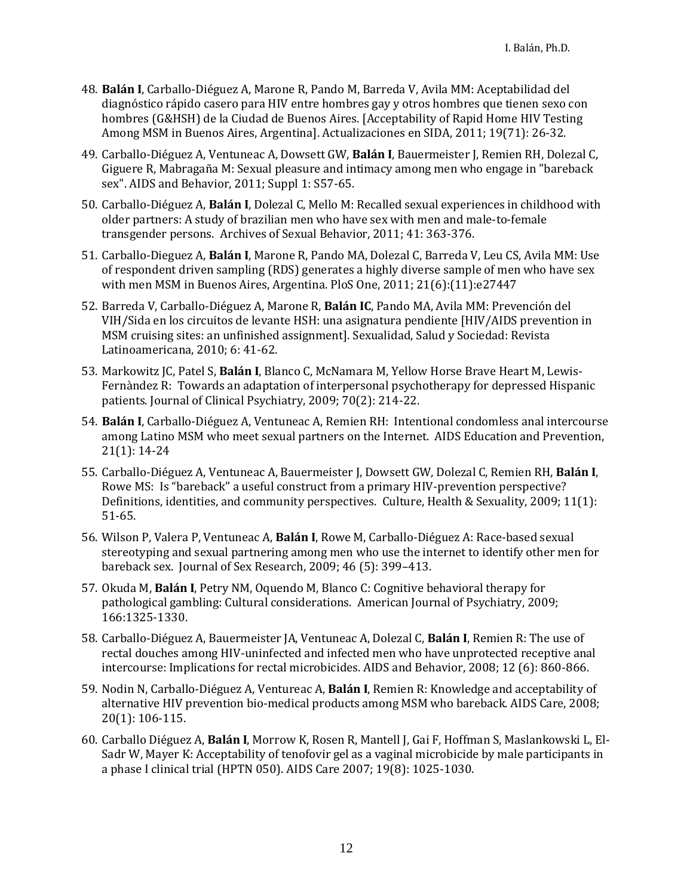- 48. **Balán I**, Carballo-Diéguez A, Marone R, Pando M, Barreda V, Avila MM: Aceptabilidad del diagnóstico rápido casero para HIV entre hombres gay y otros hombres que tienen sexo con hombres (G&HSH) de la Ciudad de Buenos Aires. [Acceptability of Rapid Home HIV Testing Among MSM in Buenos Aires, Argentina]. Actualizaciones en SIDA, 2011; 19(71): 26-32.
- 49. Carballo-Diéguez A, Ventuneac A, Dowsett GW, **Balán I**, Bauermeister J, Remien RH, Dolezal C, Giguere R, Mabragaña M: Sexual pleasure and intimacy among men who engage in "bareback sex". AIDS and Behavior, 2011; Suppl 1: S57-65.
- 50. Carballo-Diéguez A, **Balán I**, Dolezal C, Mello M: Recalled sexual experiences in childhood with older partners: A study of brazilian men who have sex with men and male-to-female transgender persons. Archives of Sexual Behavior, 2011; 41: 363-376.
- 51. Carballo-Dieguez A, **Balán I**, Marone R, Pando MA, Dolezal C, Barreda V, Leu CS, Avila MM: Use of respondent driven sampling (RDS) generates a highly diverse sample of men who have sex with men MSM in Buenos Aires, Argentina. PloS One, 2011; 21(6):(11):e27447
- 52. Barreda V, Carballo-Diéguez A, Marone R, **Balán IC**, Pando MA, Avila MM: Prevención del VIH/Sida en los circuitos de levante HSH: una asignatura pendiente [HIV/AIDS prevention in MSM cruising sites: an unfinished assignment]. Sexualidad, Salud y Sociedad: Revista Latinoamericana, 2010; 6: 41-62.
- 53. Markowitz JC, Patel S, **Balán I**, Blanco C, McNamara M, Yellow Horse Brave Heart M, Lewis-Fernàndez R: Towards an adaptation of interpersonal psychotherapy for depressed Hispanic patients. Journal of Clinical Psychiatry, 2009; 70(2): 214-22.
- 54. **Balán I**, Carballo-Diéguez A, Ventuneac A, Remien RH: Intentional condomless anal intercourse among Latino MSM who meet sexual partners on the Internet. AIDS Education and Prevention, 21(1): 14-24
- 55. Carballo-Diéguez A, Ventuneac A, Bauermeister J, Dowsett GW, Dolezal C, Remien RH, **Balán I**, Rowe MS: Is "bareback" a useful construct from a primary HIV-prevention perspective? Definitions, identities, and community perspectives. Culture, Health & Sexuality, 2009; 11(1): 51-65.
- 56. Wilson P, Valera P, Ventuneac A, **Balán I**, Rowe M, Carballo-Diéguez A: Race-based sexual stereotyping and sexual partnering among men who use the internet to identify other men for bareback sex. Journal of Sex Research, 2009; 46 (5): 399–413.
- 57. Okuda M, **Balán I**, Petry NM, Oquendo M, Blanco C: Cognitive behavioral therapy for pathological gambling: Cultural considerations. American Journal of Psychiatry, 2009; 166:1325-1330.
- 58. Carballo-Diéguez A, Bauermeister JA, Ventuneac A, Dolezal C, **Balán I**, Remien R: The use of rectal douches among HIV-uninfected and infected men who have unprotected receptive anal intercourse: Implications for rectal microbicides. AIDS and Behavior, 2008; 12 (6): 860-866.
- 59. Nodin N, Carballo-Diéguez A, Ventureac A, **Balán I**, Remien R: Knowledge and acceptability of alternative HIV prevention bio-medical products among MSM who bareback. AIDS Care, 2008; 20(1): 106-115.
- 60. Carballo Diéguez A, **Balán I**, Morrow K, Rosen R, Mantell J, Gai F, Hoffman S, Maslankowski L, El-Sadr W, Mayer K: Acceptability of tenofovir gel as a vaginal microbicide by male participants in a phase I clinical trial (HPTN 050). AIDS Care 2007; 19(8): 1025-1030.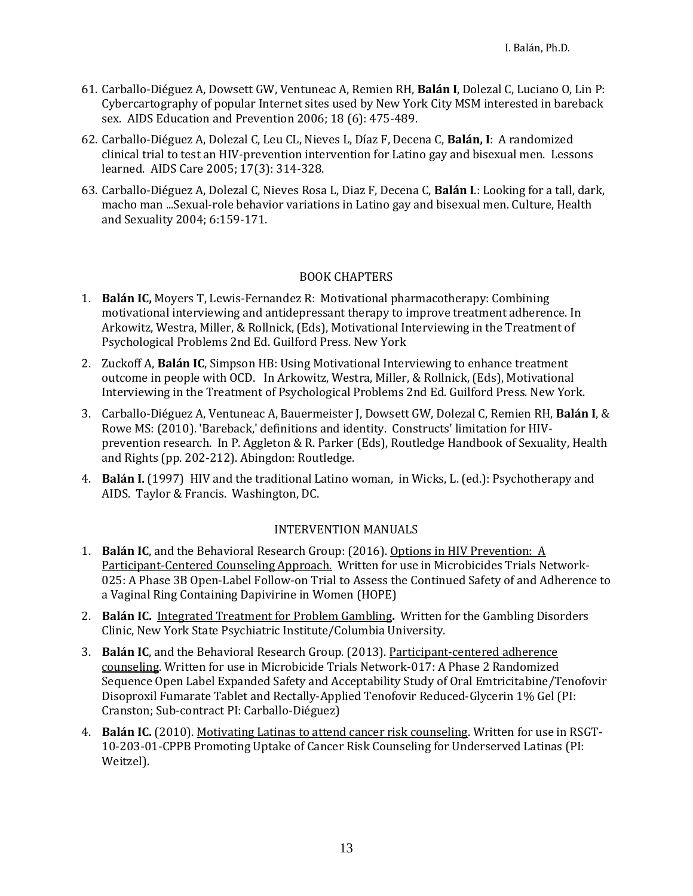- 61. Carballo-Diéguez A, Dowsett GW, Ventuneac A, Remien RH, **Balán I**, Dolezal C, Luciano O, Lin P: Cybercartography of popular Internet sites used by New York City MSM interested in bareback sex. AIDS Education and Prevention 2006; 18 (6): 475-489.
- 62. Carballo-Diéguez A, Dolezal C, Leu CL, Nieves L, Díaz F, Decena C, **Balán, I**: A randomized clinical trial to test an HIV-prevention intervention for Latino gay and bisexual men. Lessons learned. AIDS Care 2005; 17(3): 314-328.
- 63. Carballo-Diéguez A, Dolezal C, Nieves Rosa L, Diaz F, Decena C, **Balán I**.: Looking for a tall, dark, macho man ...Sexual-role behavior variations in Latino gay and bisexual men. Culture, Health and Sexuality 2004; 6:159-171.

#### BOOK CHAPTERS

- 1. **Balán IC,** Moyers T, Lewis-Fernandez R: Motivational pharmacotherapy: Combining motivational interviewing and antidepressant therapy to improve treatment adherence. In Arkowitz, Westra, Miller, & Rollnick, (Eds), Motivational Interviewing in the Treatment of Psychological Problems 2nd Ed. Guilford Press. New York
- 2. Zuckoff A, **Balán IC**, Simpson HB: Using Motivational Interviewing to enhance treatment outcome in people with OCD. In Arkowitz, Westra, Miller, & Rollnick, (Eds), Motivational Interviewing in the Treatment of Psychological Problems 2nd Ed. Guilford Press. New York.
- 3. Carballo-Diéguez A, Ventuneac A, Bauermeister J, Dowsett GW, Dolezal C, Remien RH, **Balán I**, & Rowe MS: (2010). 'Bareback,' definitions and identity. Constructs' limitation for HIVprevention research. In P. Aggleton & R. Parker (Eds), Routledge Handbook of Sexuality, Health and Rights (pp. 202-212). Abingdon: Routledge.
- 4. **Balán I.** (1997) HIV and the traditional Latino woman, in Wicks, L. (ed.): Psychotherapy and AIDS. Taylor & Francis. Washington, DC.

#### INTERVENTION MANUALS

- 1. **Balán IC**, and the Behavioral Research Group: (2016). Options in HIV Prevention: A Participant-Centered Counseling Approach. Written for use in Microbicides Trials Network-025: A Phase 3B Open-Label Follow-on Trial to Assess the Continued Safety of and Adherence to a Vaginal Ring Containing Dapivirine in Women (HOPE)
- 2. **Balán IC.** Integrated Treatment for Problem Gambling**.** Written for the Gambling Disorders Clinic, New York State Psychiatric Institute/Columbia University.
- 3. **Balán IC**, and the Behavioral Research Group. (2013). Participant-centered adherence counseling. Written for use in Microbicide Trials Network-017: A Phase 2 Randomized Sequence Open Label Expanded Safety and Acceptability Study of Oral Emtricitabine/Tenofovir Disoproxil Fumarate Tablet and Rectally-Applied Tenofovir Reduced-Glycerin 1% Gel (PI: Cranston; Sub-contract PI: Carballo-Diéguez)
- 4. **Balán IC.** (2010). Motivating Latinas to attend cancer risk counseling. Written for use in RSGT-10-203-01-CPPB Promoting Uptake of Cancer Risk Counseling for Underserved Latinas (PI: Weitzel).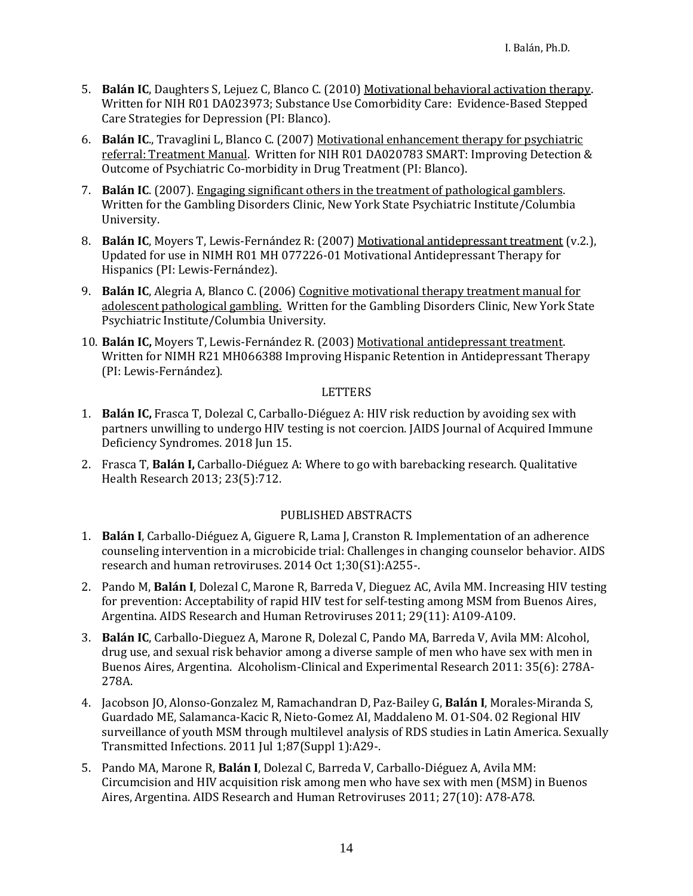- 5. **Balán IC**, Daughters S, Lejuez C, Blanco C. (2010) Motivational behavioral activation therapy. Written for NIH R01 DA023973; Substance Use Comorbidity Care: Evidence-Based Stepped Care Strategies for Depression (PI: Blanco).
- 6. **Balán IC**., Travaglini L, Blanco C. (2007) Motivational enhancement therapy for psychiatric referral: Treatment Manual. Written for NIH R01 DA020783 SMART: Improving Detection & Outcome of Psychiatric Co-morbidity in Drug Treatment (PI: Blanco).
- 7. **Balán IC**. (2007). Engaging significant others in the treatment of pathological gamblers. Written for the Gambling Disorders Clinic, New York State Psychiatric Institute/Columbia University.
- 8. **Balán IC**, Moyers T, Lewis-Fernández R: (2007) Motivational antidepressant treatment (v.2.), Updated for use in NIMH R01 MH 077226-01 Motivational Antidepressant Therapy for Hispanics (PI: Lewis-Fernández).
- 9. **Balán IC**, Alegria A, Blanco C. (2006) Cognitive motivational therapy treatment manual for adolescent pathological gambling. Written for the Gambling Disorders Clinic, New York State Psychiatric Institute/Columbia University.
- 10. **Balán IC,** Moyers T, Lewis-Fernández R. (2003) Motivational antidepressant treatment. Written for NIMH R21 MH066388 Improving Hispanic Retention in Antidepressant Therapy (PI: Lewis-Fernández).

#### **LETTERS**

- 1. **Balán IC,** Frasca T, Dolezal C, Carballo-Diéguez A: HIV risk reduction by avoiding sex with partners unwilling to undergo HIV testing is not coercion. JAIDS Journal of Acquired Immune Deficiency Syndromes. 2018 Jun 15.
- 2. Frasca T, **Balán I,** Carballo-Diéguez A: Where to go with barebacking research. Qualitative Health Research 2013; 23(5):712.

#### PUBLISHED ABSTRACTS

- 1. **Balán I**, Carballo-Diéguez A, Giguere R, Lama J, Cranston R. Implementation of an adherence counseling intervention in a microbicide trial: Challenges in changing counselor behavior. AIDS research and human retroviruses. 2014 Oct 1;30(S1):A255-.
- 2. Pando M, **Balán I**, Dolezal C, Marone R, Barreda V, Dieguez AC, Avila MM. Increasing HIV testing for prevention: Acceptability of rapid HIV test for self-testing among MSM from Buenos Aires, Argentina. AIDS Research and Human Retroviruses 2011; 29(11): A109-A109.
- 3. **Balán IC**, Carballo-Dieguez A, Marone R, Dolezal C, Pando MA, Barreda V, Avila MM: Alcohol, drug use, and sexual risk behavior among a diverse sample of men who have sex with men in Buenos Aires, Argentina. Alcoholism-Clinical and Experimental Research 2011: 35(6): 278A-278A.
- 4. Jacobson JO, Alonso-Gonzalez M, Ramachandran D, Paz-Bailey G, **Balán I**, Morales-Miranda S, Guardado ME, Salamanca-Kacic R, Nieto-Gomez AI, Maddaleno M. O1-S04. 02 Regional HIV surveillance of youth MSM through multilevel analysis of RDS studies in Latin America. Sexually Transmitted Infections. 2011 Jul 1;87(Suppl 1):A29-.
- 5. Pando MA, Marone R, **Balán I**, Dolezal C, Barreda V, Carballo-Diéguez A, Avila MM: Circumcision and HIV acquisition risk among men who have sex with men (MSM) in Buenos Aires, Argentina. AIDS Research and Human Retroviruses 2011; 27(10): A78-A78.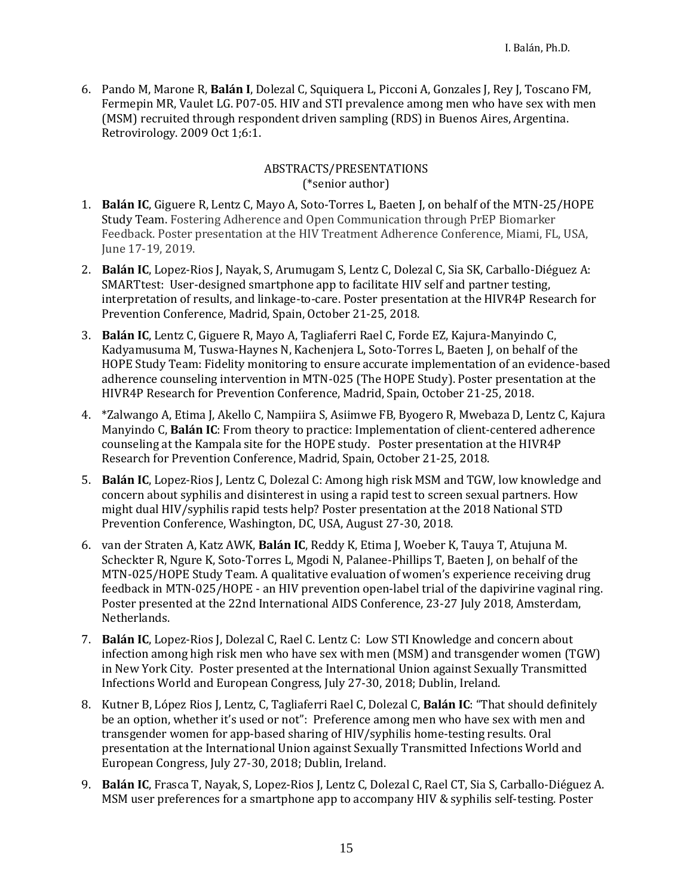6. Pando M, Marone R, **Balán I**, Dolezal C, Squiquera L, Picconi A, Gonzales J, Rey J, Toscano FM, Fermepin MR, Vaulet LG. P07-05. HIV and STI prevalence among men who have sex with men (MSM) recruited through respondent driven sampling (RDS) in Buenos Aires, Argentina. Retrovirology. 2009 Oct 1;6:1.

#### ABSTRACTS/PRESENTATIONS (\*senior author)

- 1. **Balán IC**, Giguere R, Lentz C, Mayo A, Soto-Torres L, Baeten J, on behalf of the MTN-25/HOPE Study Team. Fostering Adherence and Open Communication through PrEP Biomarker Feedback. Poster presentation at the HIV Treatment Adherence Conference, Miami, FL, USA, June 17-19, 2019.
- 2. **Balán IC**, Lopez-Rios J, Nayak, S, Arumugam S, Lentz C, Dolezal C, Sia SK, Carballo-Diéguez A: SMARTtest: User-designed smartphone app to facilitate HIV self and partner testing, interpretation of results, and linkage-to-care. Poster presentation at the HIVR4P Research for Prevention Conference, Madrid, Spain, October 21-25, 2018.
- 3. **Balán IC**, Lentz C, Giguere R, Mayo A, Tagliaferri Rael C, Forde EZ, Kajura-Manyindo C, Kadyamusuma M, Tuswa-Haynes N, Kachenjera L, Soto-Torres L, Baeten J, on behalf of the HOPE Study Team: Fidelity monitoring to ensure accurate implementation of an evidence-based adherence counseling intervention in MTN-025 (The HOPE Study). Poster presentation at the HIVR4P Research for Prevention Conference, Madrid, Spain, October 21-25, 2018.
- 4. \*Zalwango A, Etima J, Akello C, Nampiira S, Asiimwe FB, Byogero R, Mwebaza D, Lentz C, Kajura Manyindo C, **Balán IC**: From theory to practice: Implementation of client-centered adherence counseling at the Kampala site for the HOPE study. Poster presentation at the HIVR4P Research for Prevention Conference, Madrid, Spain, October 21-25, 2018.
- 5. **Balán IC**, Lopez-Rios J, Lentz C, Dolezal C: Among high risk MSM and TGW, low knowledge and concern about syphilis and disinterest in using a rapid test to screen sexual partners. How might dual HIV/syphilis rapid tests help? Poster presentation at the 2018 National STD Prevention Conference, Washington, DC, USA, August 27-30, 2018.
- 6. van der Straten A, Katz AWK, **Balán IC**, Reddy K, Etima J, Woeber K, Tauya T, Atujuna M. Scheckter R, Ngure K, Soto-Torres L, Mgodi N, Palanee-Phillips T, Baeten J, on behalf of the MTN-025/HOPE Study Team. A qualitative evaluation of women's experience receiving drug feedback in MTN-025/HOPE - an HIV prevention open-label trial of the dapivirine vaginal ring. Poster presented at the 22nd International AIDS Conference, 23-27 July 2018, Amsterdam, Netherlands.
- 7. **Balán IC**, Lopez-Rios J, Dolezal C, Rael C. Lentz C: Low STI Knowledge and concern about infection among high risk men who have sex with men (MSM) and transgender women (TGW) in New York City. Poster presented at the International Union against Sexually Transmitted Infections World and European Congress, July 27-30, 2018; Dublin, Ireland.
- 8. Kutner B, López Rios J, Lentz, C, Tagliaferri Rael C, Dolezal C, **Balán IC**: "That should definitely be an option, whether it's used or not": Preference among men who have sex with men and transgender women for app-based sharing of HIV/syphilis home-testing results. Oral presentation at the International Union against Sexually Transmitted Infections World and European Congress, July 27-30, 2018; Dublin, Ireland.
- 9. **Balán IC**, Frasca T, Nayak, S, Lopez-Rios J, Lentz C, Dolezal C, Rael CT, Sia S, Carballo-Diéguez A. MSM user preferences for a smartphone app to accompany HIV & syphilis self-testing. Poster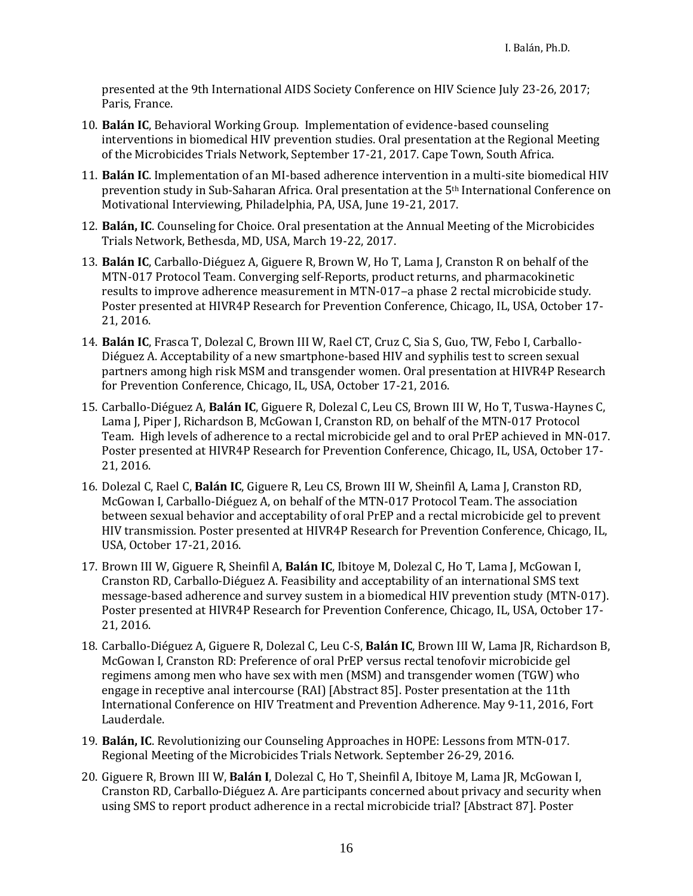presented at the 9th International AIDS Society Conference on HIV Science July 23-26, 2017; Paris, France.

- 10. **Balán IC**, Behavioral Working Group. Implementation of evidence-based counseling interventions in biomedical HIV prevention studies. Oral presentation at the Regional Meeting of the Microbicides Trials Network, September 17-21, 2017. Cape Town, South Africa.
- 11. **Balán IC**. Implementation of an MI-based adherence intervention in a multi-site biomedical HIV prevention study in Sub-Saharan Africa. Oral presentation at the 5th International Conference on Motivational Interviewing, Philadelphia, PA, USA, June 19-21, 2017.
- 12. **Balán, IC**. Counseling for Choice. Oral presentation at the Annual Meeting of the Microbicides Trials Network, Bethesda, MD, USA, March 19-22, 2017.
- 13. **Balán IC**, Carballo-Diéguez A, Giguere R, Brown W, Ho T, Lama J, Cranston R on behalf of the MTN-017 Protocol Team. Converging self-Reports, product returns, and pharmacokinetic results to improve adherence measurement in MTN-017-a phase 2 rectal microbicide study. Poster presented at HIVR4P Research for Prevention Conference, Chicago, IL, USA, October 17- 21, 2016.
- 14. **Balán IC**, Frasca T, Dolezal C, Brown III W, Rael CT, Cruz C, Sia S, Guo, TW, Febo I, Carballo-Diéguez A. Acceptability of a new smartphone-based HIV and syphilis test to screen sexual partners among high risk MSM and transgender women. Oral presentation at HIVR4P Research for Prevention Conference, Chicago, IL, USA, October 17-21, 2016.
- 15. Carballo-Diéguez A, **Balán IC**, Giguere R, Dolezal C, Leu CS, Brown III W, Ho T, Tuswa-Haynes C, Lama J, Piper J, Richardson B, McGowan I, Cranston RD, on behalf of the MTN-017 Protocol Team. High levels of adherence to a rectal microbicide gel and to oral PrEP achieved in MN-017. Poster presented at HIVR4P Research for Prevention Conference, Chicago, IL, USA, October 17- 21, 2016.
- 16. Dolezal C, Rael C, **Balán IC**, Giguere R, Leu CS, Brown III W, Sheinfil A, Lama J, Cranston RD, McGowan I, Carballo-Diéguez A, on behalf of the MTN-017 Protocol Team. The association between sexual behavior and acceptability of oral PrEP and a rectal microbicide gel to prevent HIV transmission. Poster presented at HIVR4P Research for Prevention Conference, Chicago, IL, USA, October 17-21, 2016.
- 17. Brown III W, Giguere R, Sheinfil A, **Balán IC**, Ibitoye M, Dolezal C, Ho T, Lama J, McGowan I, Cranston RD, Carballo-Diéguez A. Feasibility and acceptability of an international SMS text message-based adherence and survey sustem in a biomedical HIV prevention study (MTN-017). Poster presented at HIVR4P Research for Prevention Conference, Chicago, IL, USA, October 17- 21, 2016.
- 18. Carballo-Diéguez A, Giguere R, Dolezal C, Leu C-S, **Balán IC**, Brown III W, Lama JR, Richardson B, McGowan I, Cranston RD: Preference of oral PrEP versus rectal tenofovir microbicide gel regimens among men who have sex with men (MSM) and transgender women (TGW) who engage in receptive anal intercourse (RAI) [Abstract 85]. Poster presentation at the 11th International Conference on HIV Treatment and Prevention Adherence. May 9-11, 2016, Fort Lauderdale.
- 19. **Balán, IC**. Revolutionizing our Counseling Approaches in HOPE: Lessons from MTN-017. Regional Meeting of the Microbicides Trials Network. September 26-29, 2016.
- 20. Giguere R, Brown III W, **Balán I**, Dolezal C, Ho T, Sheinfil A, Ibitoye M, Lama JR, McGowan I, Cranston RD, Carballo-Diéguez A. Are participants concerned about privacy and security when using SMS to report product adherence in a rectal microbicide trial? [Abstract 87]. Poster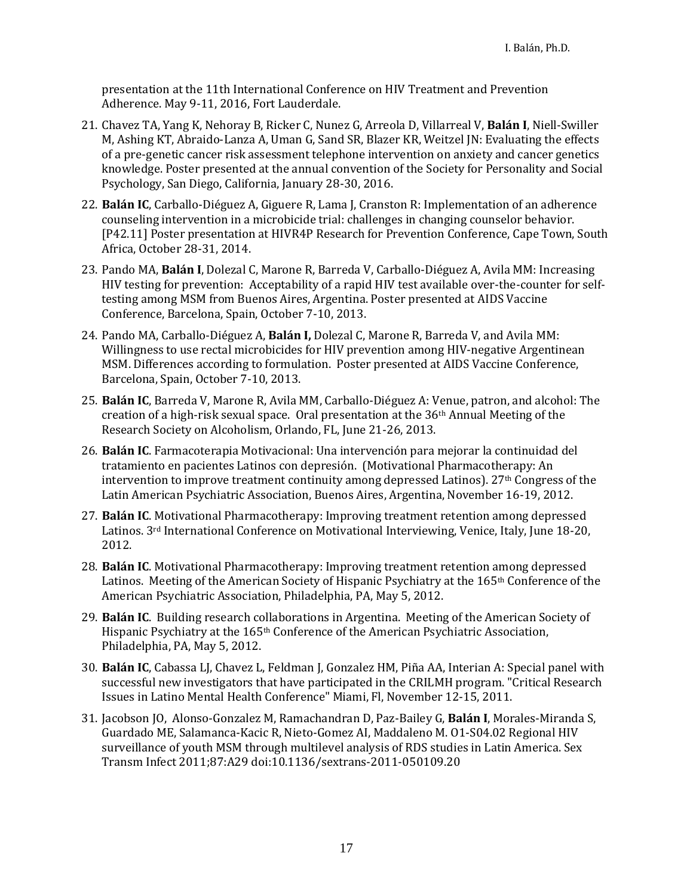presentation at the 11th International Conference on HIV Treatment and Prevention Adherence. May 9-11, 2016, Fort Lauderdale.

- 21. Chavez TA, Yang K, Nehoray B, Ricker C, Nunez G, Arreola D, Villarreal V, **Balán I**, Niell-Swiller M, Ashing KT, Abraido-Lanza A, Uman G, Sand SR, Blazer KR, Weitzel JN: Evaluating the effects of a pre-genetic cancer risk assessment telephone intervention on anxiety and cancer genetics knowledge. Poster presented at the annual convention of the Society for Personality and Social Psychology, San Diego, California, January 28-30, 2016.
- 22. **Balán IC**, Carballo-Diéguez A, Giguere R, Lama J, Cranston R: Implementation of an adherence counseling intervention in a microbicide trial: challenges in changing counselor behavior. [P42.11] Poster presentation at HIVR4P Research for Prevention Conference, Cape Town, South Africa, October 28-31, 2014.
- 23. Pando MA, **Balán I**, Dolezal C, Marone R, Barreda V, Carballo-Diéguez A, Avila MM: Increasing HIV testing for prevention: Acceptability of a rapid HIV test available over-the-counter for selftesting among MSM from Buenos Aires, Argentina. Poster presented at AIDS Vaccine Conference, Barcelona, Spain, October 7-10, 2013.
- 24. Pando MA, Carballo-Diéguez A, **Balán I,** Dolezal C, Marone R, Barreda V, and Avila MM: Willingness to use rectal microbicides for HIV prevention among HIV-negative Argentinean MSM. Differences according to formulation. Poster presented at AIDS Vaccine Conference, Barcelona, Spain, October 7-10, 2013.
- 25. **Balán IC**, Barreda V, Marone R, Avila MM, Carballo-Diéguez A: Venue, patron, and alcohol: The creation of a high-risk sexual space. Oral presentation at the  $36<sup>th</sup>$  Annual Meeting of the Research Society on Alcoholism, Orlando, FL, June 21-26, 2013.
- 26. **Balán IC**. Farmacoterapia Motivacional: Una intervención para mejorar la continuidad del tratamiento en pacientes Latinos con depresión. (Motivational Pharmacotherapy: An intervention to improve treatment continuity among depressed Latinos).  $27<sup>th</sup>$  Congress of the Latin American Psychiatric Association, Buenos Aires, Argentina, November 16-19, 2012.
- 27. **Balán IC**. Motivational Pharmacotherapy: Improving treatment retention among depressed Latinos. 3rd International Conference on Motivational Interviewing, Venice, Italy, June 18-20, 2012.
- 28. **Balán IC**. Motivational Pharmacotherapy: Improving treatment retention among depressed Latinos. Meeting of the American Society of Hispanic Psychiatry at the 165th Conference of the American Psychiatric Association, Philadelphia, PA, May 5, 2012.
- 29. **Balán IC**. Building research collaborations in Argentina. Meeting of the American Society of Hispanic Psychiatry at the 165th Conference of the American Psychiatric Association, Philadelphia, PA, May 5, 2012.
- 30. **Balán IC**, Cabassa LJ, Chavez L, Feldman J, Gonzalez HM, Piña AA, Interian A: Special panel with successful new investigators that have participated in the CRILMH program. "Critical Research Issues in Latino Mental Health Conference" Miami, Fl, November 12-15, 2011.
- 31. Jacobson JO, Alonso-Gonzalez M, Ramachandran D, Paz-Bailey G, **Balán I**, Morales-Miranda S, Guardado ME, Salamanca-Kacic R, Nieto-Gomez AI, Maddaleno M. O1-S04.02 Regional HIV surveillance of youth MSM through multilevel analysis of RDS studies in Latin America. Sex Transm Infect 2011;87:A29 doi:10.1136/sextrans-2011-050109.20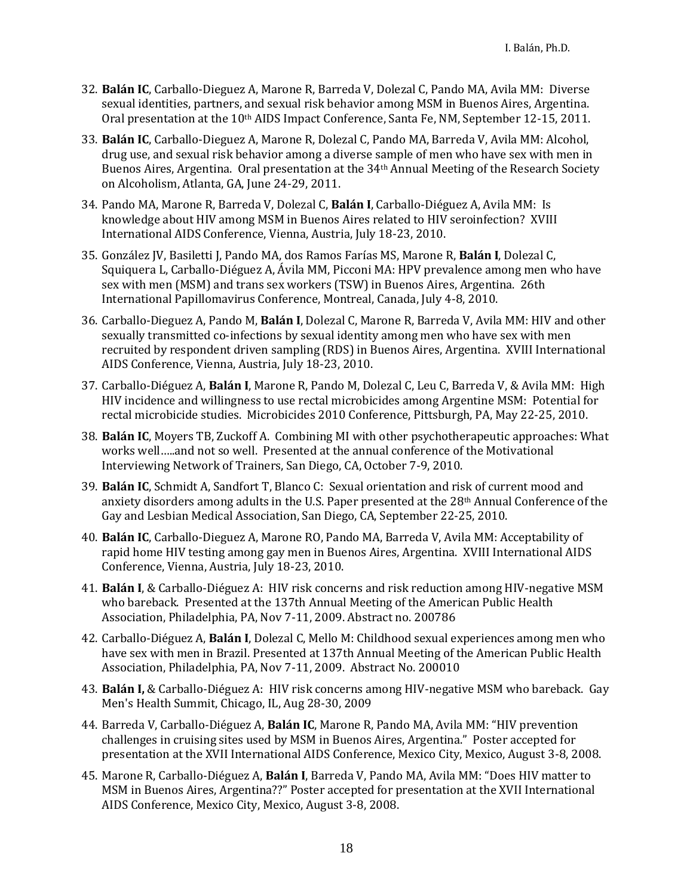- 32. **Balán IC**, Carballo-Dieguez A, Marone R, Barreda V, Dolezal C, Pando MA, Avila MM: Diverse sexual identities, partners, and sexual risk behavior among MSM in Buenos Aires, Argentina. Oral presentation at the 10<sup>th</sup> AIDS Impact Conference, Santa Fe, NM, September 12-15, 2011.
- 33. **Balán IC**, Carballo-Dieguez A, Marone R, Dolezal C, Pando MA, Barreda V, Avila MM: Alcohol, drug use, and sexual risk behavior among a diverse sample of men who have sex with men in Buenos Aires, Argentina. Oral presentation at the 34th Annual Meeting of the Research Society on Alcoholism, Atlanta, GA, June 24-29, 2011.
- 34. Pando MA, Marone R, Barreda V, Dolezal C, **Balán I**, Carballo-Diéguez A, Avila MM: Is knowledge about HIV among MSM in Buenos Aires related to HIV seroinfection? XVIII International AIDS Conference, Vienna, Austria, July 18-23, 2010.
- 35. González JV, Basiletti J, Pando MA, dos Ramos Farías MS, Marone R, **Balán I**, Dolezal C, Squiquera L, Carballo-Diéguez A, Ávila MM, Picconi MA: HPV prevalence among men who have sex with men (MSM) and trans sex workers (TSW) in Buenos Aires, Argentina. 26th International Papillomavirus Conference, Montreal, Canada, July 4-8, 2010.
- 36. Carballo-Dieguez A, Pando M, **Balán I**, Dolezal C, Marone R, Barreda V, Avila MM: HIV and other sexually transmitted co-infections by sexual identity among men who have sex with men recruited by respondent driven sampling (RDS) in Buenos Aires, Argentina. XVIII International AIDS Conference, Vienna, Austria, July 18-23, 2010.
- 37. Carballo-Diéguez A, **Balán I**, Marone R, Pando M, Dolezal C, Leu C, Barreda V, & Avila MM: High HIV incidence and willingness to use rectal microbicides among Argentine MSM: Potential for rectal microbicide studies. Microbicides 2010 Conference, Pittsburgh, PA, May 22-25, 2010.
- 38. **Balán IC**, Moyers TB, Zuckoff A. Combining MI with other psychotherapeutic approaches: What works well…..and not so well. Presented at the annual conference of the Motivational Interviewing Network of Trainers, San Diego, CA, October 7-9, 2010.
- 39. **Balán IC**, Schmidt A, Sandfort T, Blanco C: Sexual orientation and risk of current mood and anxiety disorders among adults in the U.S. Paper presented at the 28th Annual Conference of the Gay and Lesbian Medical Association, San Diego, CA, September 22-25, 2010.
- 40. **Balán IC**, Carballo-Dieguez A, Marone RO, Pando MA, Barreda V, Avila MM: Acceptability of rapid home HIV testing among gay men in Buenos Aires, Argentina. XVIII International AIDS Conference, Vienna, Austria, July 18-23, 2010.
- 41. **Balán I**, & Carballo-Diéguez A: HIV risk concerns and risk reduction among HIV-negative MSM who bareback. Presented at the 137th Annual Meeting of the American Public Health Association, Philadelphia, PA, Nov 7-11, 2009. Abstract no. 200786
- 42. Carballo-Diéguez A, **Balán I**, Dolezal C, Mello M: Childhood sexual experiences among men who have sex with men in Brazil. Presented at 137th Annual Meeting of the American Public Health Association, Philadelphia, PA, Nov 7-11, 2009. Abstract No. 200010
- 43. **Balán I,** & Carballo-Diéguez A: HIV risk concerns among HIV-negative MSM who bareback. Gay Men's Health Summit, Chicago, IL, Aug 28-30, 2009
- 44. Barreda V, Carballo-Diéguez A, **Balán IC**, Marone R, Pando MA, Avila MM: "HIV prevention challenges in cruising sites used by MSM in Buenos Aires, Argentina." Poster accepted for presentation at the XVII International AIDS Conference, Mexico City, Mexico, August 3-8, 2008.
- 45. Marone R, Carballo-Diéguez A, **Balán I**, Barreda V, Pando MA, Avila MM: "Does HIV matter to MSM in Buenos Aires, Argentina??" Poster accepted for presentation at the XVII International AIDS Conference, Mexico City, Mexico, August 3-8, 2008.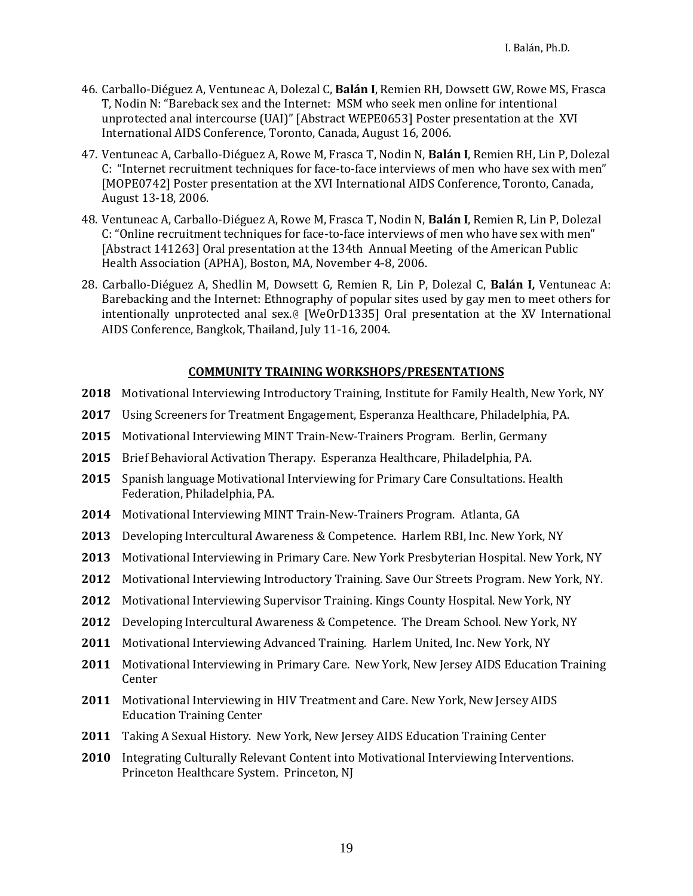- 46. Carballo-Diéguez A, Ventuneac A, Dolezal C, **Balán I**, Remien RH, Dowsett GW, Rowe MS, Frasca T, Nodin N: "Bareback sex and the Internet: MSM who seek men online for intentional unprotected anal intercourse (UAI)" [Abstract WEPE0653] Poster presentation at the XVI International AIDS Conference, Toronto, Canada, August 16, 2006.
- 47. Ventuneac A, Carballo-Diéguez A, Rowe M, Frasca T, Nodin N, **Balán I**, Remien RH, Lin P, Dolezal C: "Internet recruitment techniques for face-to-face interviews of men who have sex with men" [MOPE0742] Poster presentation at the XVI International AIDS Conference, Toronto, Canada, August 13-18, 2006.
- 48. Ventuneac A, Carballo-Diéguez A, Rowe M, Frasca T, Nodin N, **Balán I**, Remien R, Lin P, Dolezal C: "Online recruitment techniques for face-to-face interviews of men who have sex with men" [Abstract 141263] Oral presentation at the 134th Annual Meeting of the American Public Health Association (APHA), Boston, MA, November 4-8, 2006.
- 28. Carballo-Diéguez A, Shedlin M, Dowsett G, Remien R, Lin P, Dolezal C, **Balán I,** Ventuneac A: Barebacking and the Internet: Ethnography of popular sites used by gay men to meet others for intentionally unprotected anal sex.@ [WeOrD1335] Oral presentation at the XV International AIDS Conference, Bangkok, Thailand, July 11-16, 2004.

#### **COMMUNITY TRAINING WORKSHOPS/PRESENTATIONS**

- **2018** Motivational Interviewing Introductory Training, Institute for Family Health, New York, NY
- **2017** Using Screeners for Treatment Engagement, Esperanza Healthcare, Philadelphia, PA.
- **2015** Motivational Interviewing MINT Train-New-Trainers Program. Berlin, Germany
- **2015** Brief Behavioral Activation Therapy. Esperanza Healthcare, Philadelphia, PA.
- **2015** Spanish language Motivational Interviewing for Primary Care Consultations. Health Federation, Philadelphia, PA.
- **2014** Motivational Interviewing MINT Train-New-Trainers Program. Atlanta, GA
- **2013** Developing Intercultural Awareness & Competence. Harlem RBI, Inc. New York, NY
- **2013** Motivational Interviewing in Primary Care. New York Presbyterian Hospital. New York, NY
- **2012** Motivational Interviewing Introductory Training. Save Our Streets Program. New York, NY.
- **2012** Motivational Interviewing Supervisor Training. Kings County Hospital. New York, NY
- **2012** Developing Intercultural Awareness & Competence. The Dream School. New York, NY
- **2011** Motivational Interviewing Advanced Training. Harlem United, Inc. New York, NY
- **2011** Motivational Interviewing in Primary Care. New York, New Jersey AIDS Education Training **Center**
- **2011** Motivational Interviewing in HIV Treatment and Care. New York, New Jersey AIDS Education Training Center
- **2011** Taking A Sexual History. New York, New Jersey AIDS Education Training Center
- **2010** Integrating Culturally Relevant Content into Motivational Interviewing Interventions. Princeton Healthcare System. Princeton, NJ